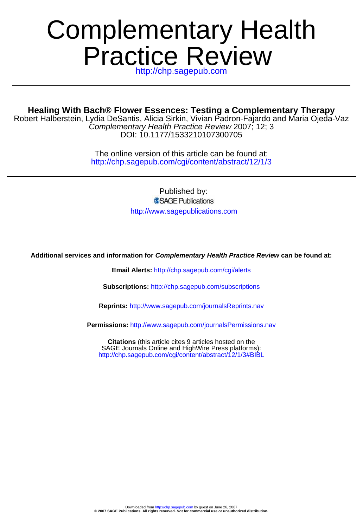# Practice Review Complementary Health

http://chp.sagepub.com

### **Healing With Bach® Flower Essences: Testing a Complementary Therapy**

DOI: 10.1177/1533210107300705 Complementary Health Practice Review 2007; 12; 3 Robert Halberstein, Lydia DeSantis, Alicia Sirkin, Vivian Padron-Fajardo and Maria Ojeda-Vaz

> http://chp.sagepub.com/cgi/content/abstract/12/1/3 The online version of this article can be found at:

> > Published by: SSAGE Publications http://www.sagepublications.com

**Additional services and information for Complementary Health Practice Review can be found at:**

**Email Alerts:** <http://chp.sagepub.com/cgi/alerts>

**Subscriptions:** <http://chp.sagepub.com/subscriptions>

**Reprints:** <http://www.sagepub.com/journalsReprints.nav>

**Permissions:** <http://www.sagepub.com/journalsPermissions.nav>

<http://chp.sagepub.com/cgi/content/abstract/12/1/3#BIBL> SAGE Journals Online and HighWire Press platforms): **Citations** (this article cites 9 articles hosted on the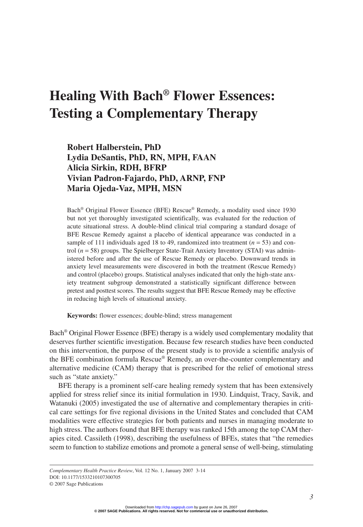## **Healing With Bach® Flower Essences: Testing a Complementary Therapy**

**Robert Halberstein, PhD Lydia DeSantis, PhD, RN, MPH, FAAN Alicia Sirkin, RDH, BFRP Vivian Padron-Fajardo, PhD, ARNP, FNP Maria Ojeda-Vaz, MPH, MSN**

Bach® Original Flower Essence (BFE) Rescue® Remedy, a modality used since 1930 but not yet thoroughly investigated scientifically, was evaluated for the reduction of acute situational stress. A double-blind clinical trial comparing a standard dosage of BFE Rescue Remedy against a placebo of identical appearance was conducted in a sample of 111 individuals aged 18 to 49, randomized into treatment  $(n = 53)$  and control (*n* = 58) groups. The Spielberger State-Trait Anxiety Inventory (STAI) was administered before and after the use of Rescue Remedy or placebo. Downward trends in anxiety level measurements were discovered in both the treatment (Rescue Remedy) and control (placebo) groups. Statistical analyses indicated that only the high-state anxiety treatment subgroup demonstrated a statistically significant difference between pretest and posttest scores. The results suggest that BFE Rescue Remedy may be effective in reducing high levels of situational anxiety.

**Keywords:** flower essences; double-blind; stress management

Bach® Original Flower Essence (BFE) therapy is a widely used complementary modality that deserves further scientific investigation. Because few research studies have been conducted on this intervention, the purpose of the present study is to provide a scientific analysis of the BFE combination formula Rescue® Remedy, an over-the-counter complementary and alternative medicine (CAM) therapy that is prescribed for the relief of emotional stress such as "state anxiety."

BFE therapy is a prominent self-care healing remedy system that has been extensively applied for stress relief since its initial formulation in 1930. Lindquist, Tracy, Savik, and Watanuki (2005) investigated the use of alternative and complementary therapies in critical care settings for five regional divisions in the United States and concluded that CAM modalities were effective strategies for both patients and nurses in managing moderate to high stress. The authors found that BFE therapy was ranked 15th among the top CAM therapies cited. Cassileth (1998), describing the usefulness of BFEs, states that "the remedies seem to function to stabilize emotions and promote a general sense of well-being, stimulating

*Complementary Health Practice Review*, Vol. 12 No. 1, January 2007 3-14 DOI: 10.1177/1533210107300705 © 2007 Sage Publications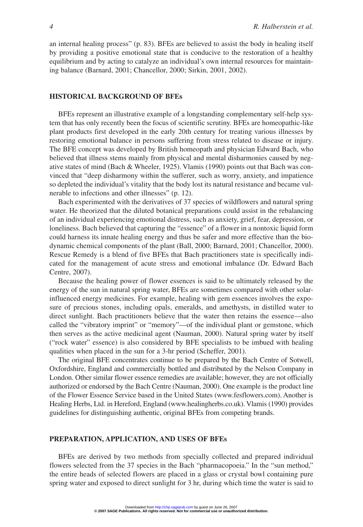an internal healing process" (p. 83). BFEs are believed to assist the body in healing itself by providing a positive emotional state that is conducive to the restoration of a healthy equilibrium and by acting to catalyze an individual's own internal resources for maintaining balance (Barnard, 2001; Chancellor, 2000; Sirkin, 2001, 2002).

#### **HISTORICAL BACKGROUND OF BFEs**

BFEs represent an illustrative example of a longstanding complementary self-help system that has only recently been the focus of scientific scrutiny. BFEs are homeopathic-like plant products first developed in the early 20th century for treating various illnesses by restoring emotional balance in persons suffering from stress related to disease or injury. The BFE concept was developed by British homeopath and physician Edward Bach, who believed that illness stems mainly from physical and mental disharmonies caused by negative states of mind (Bach & Wheeler, 1925). Vlamis (1990) points out that Bach was convinced that "deep disharmony within the sufferer, such as worry, anxiety, and impatience so depleted the individual's vitality that the body lost its natural resistance and became vulnerable to infections and other illnesses" (p. 12).

Bach experimented with the derivatives of 37 species of wildflowers and natural spring water. He theorized that the diluted botanical preparations could assist in the rebalancing of an individual experiencing emotional distress, such as anxiety, grief, fear, depression, or loneliness. Bach believed that capturing the "essence" of a flower in a nontoxic liquid form could harness its innate healing energy and thus be safer and more effective than the biodynamic chemical components of the plant (Ball, 2000; Barnard, 2001; Chancellor, 2000). Rescue Remedy is a blend of five BFEs that Bach practitioners state is specifically indicated for the management of acute stress and emotional imbalance (Dr. Edward Bach Centre, 2007).

Because the healing power of flower essences is said to be ultimately released by the energy of the sun in natural spring water, BFEs are sometimes compared with other solarinfluenced energy medicines. For example, healing with gem essences involves the exposure of precious stones, including opals, emeralds, and amethysts, in distilled water to direct sunlight. Bach practitioners believe that the water then retains the essence—also called the "vibratory imprint" or "memory"—of the individual plant or gemstone, which then serves as the active medicinal agent (Nauman, 2000). Natural spring water by itself ("rock water" essence) is also considered by BFE specialists to be imbued with healing qualities when placed in the sun for a 3-hr period (Scheffer, 2001).

The original BFE concentrates continue to be prepared by the Bach Centre of Sotwell, Oxfordshire, England and commercially bottled and distributed by the Nelson Company in London. Other similar flower essence remedies are available; however, they are not officially authorized or endorsed by the Bach Centre (Nauman, 2000). One example is the product line of the Flower Essence Service based in the United States (www.fesflowers.com). Another is Healing Herbs, Ltd. in Hereford, England (www.healingherbs.co.uk). Vlamis (1990) provides guidelines for distinguishing authentic, original BFEs from competing brands.

#### **PREPARATION, APPLICATION, AND USES OF BFEs**

BFEs are derived by two methods from specially collected and prepared individual flowers selected from the 37 species in the Bach "pharmacopoeia." In the "sun method," the entire heads of selected flowers are placed in a glass or crystal bowl containing pure spring water and exposed to direct sunlight for 3 hr, during which time the water is said to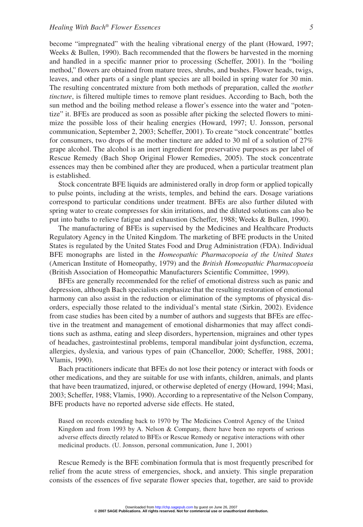become "impregnated" with the healing vibrational energy of the plant (Howard, 1997; Weeks & Bullen, 1990). Bach recommended that the flowers be harvested in the morning and handled in a specific manner prior to processing (Scheffer, 2001). In the "boiling method," flowers are obtained from mature trees, shrubs, and bushes. Flower heads, twigs, leaves, and other parts of a single plant species are all boiled in spring water for 30 min. The resulting concentrated mixture from both methods of preparation, called the *mother tincture*, is filtered multiple times to remove plant residues. According to Bach, both the sun method and the boiling method release a flower's essence into the water and "potentize" it. BFEs are produced as soon as possible after picking the selected flowers to minimize the possible loss of their healing energies (Howard, 1997; U. Jonsson, personal communication, September 2, 2003; Scheffer, 2001). To create "stock concentrate" bottles for consumers, two drops of the mother tincture are added to 30 ml of a solution of 27% grape alcohol. The alcohol is an inert ingredient for preservative purposes as per label of Rescue Remedy (Bach Shop Original Flower Remedies, 2005). The stock concentrate essences may then be combined after they are produced, when a particular treatment plan is established.

Stock concentrate BFE liquids are administered orally in drop form or applied topically to pulse points, including at the wrists, temples, and behind the ears. Dosage variations correspond to particular conditions under treatment. BFEs are also further diluted with spring water to create compresses for skin irritations, and the diluted solutions can also be put into baths to relieve fatigue and exhaustion (Scheffer, 1988; Weeks & Bullen, 1990).

The manufacturing of BFEs is supervised by the Medicines and Healthcare Products Regulatory Agency in the United Kingdom. The marketing of BFE products in the United States is regulated by the United States Food and Drug Administration (FDA). Individual BFE monographs are listed in the *Homeopathic Pharmacopoeia of the United States* (American Institute of Homeopathy, 1979) and the *British Homeopathic Pharmacopoeia* (British Association of Homeopathic Manufacturers Scientific Committee, 1999).

BFEs are generally recommended for the relief of emotional distress such as panic and depression, although Bach specialists emphasize that the resulting restoration of emotional harmony can also assist in the reduction or elimination of the symptoms of physical disorders, especially those related to the individual's mental state (Sirkin, 2002). Evidence from case studies has been cited by a number of authors and suggests that BFEs are effective in the treatment and management of emotional disharmonies that may affect conditions such as asthma, eating and sleep disorders, hypertension, migraines and other types of headaches, gastrointestinal problems, temporal mandibular joint dysfunction, eczema, allergies, dyslexia, and various types of pain (Chancellor, 2000; Scheffer, 1988, 2001; Vlamis, 1990).

Bach practitioners indicate that BFEs do not lose their potency or interact with foods or other medications, and they are suitable for use with infants, children, animals, and plants that have been traumatized, injured, or otherwise depleted of energy (Howard, 1994; Masi, 2003; Scheffer, 1988; Vlamis, 1990). According to a representative of the Nelson Company, BFE products have no reported adverse side effects. He stated,

Based on records extending back to 1970 by The Medicines Control Agency of the United Kingdom and from 1993 by A. Nelson & Company, there have been no reports of serious adverse effects directly related to BFEs or Rescue Remedy or negative interactions with other medicinal products. (U. Jonsson, personal communication, June 1, 2001)

Rescue Remedy is the BFE combination formula that is most frequently prescribed for relief from the acute stress of emergencies, shock, and anxiety. This single preparation consists of the essences of five separate flower species that, together, are said to provide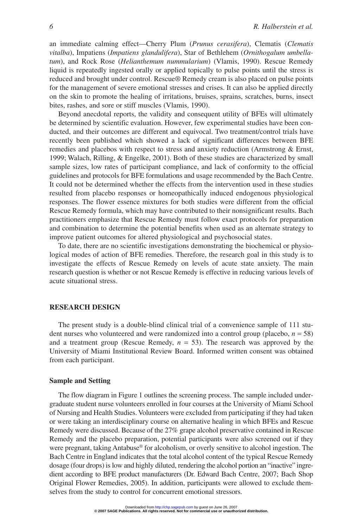an immediate calming effect—Cherry Plum (*Prunus cerasifera*), Clematis (*Clematis vitalba*), Impatiens (*Impatiens glandulifera*), Star of Bethlehem (*Ornithogalum umbellatum*), and Rock Rose (*Helianthemum nummularium*) (Vlamis, 1990). Rescue Remedy liquid is repeatedly ingested orally or applied topically to pulse points until the stress is reduced and brought under control. Rescue® Remedy cream is also placed on pulse points for the management of severe emotional stresses and crises. It can also be applied directly on the skin to promote the healing of irritations, bruises, sprains, scratches, burns, insect bites, rashes, and sore or stiff muscles (Vlamis, 1990).

Beyond anecdotal reports, the validity and consequent utility of BFEs will ultimately be determined by scientific evaluation. However, few experimental studies have been conducted, and their outcomes are different and equivocal. Two treatment/control trials have recently been published which showed a lack of significant differences between BFE remedies and placebos with respect to stress and anxiety reduction (Armstrong & Ernst, 1999; Walach, Rilling, & Engelke, 2001). Both of these studies are characterized by small sample sizes, low rates of participant compliance, and lack of conformity to the official guidelines and protocols for BFE formulations and usage recommended by the Bach Centre. It could not be determined whether the effects from the intervention used in these studies resulted from placebo responses or homeopathically induced endogenous physiological responses. The flower essence mixtures for both studies were different from the official Rescue Remedy formula, which may have contributed to their nonsignificant results. Bach practitioners emphasize that Rescue Remedy must follow exact protocols for preparation and combination to determine the potential benefits when used as an alternate strategy to improve patient outcomes for altered physiological and psychosocial states.

To date, there are no scientific investigations demonstrating the biochemical or physiological modes of action of BFE remedies. Therefore, the research goal in this study is to investigate the effects of Rescue Remedy on levels of acute state anxiety. The main research question is whether or not Rescue Remedy is effective in reducing various levels of acute situational stress.

#### **RESEARCH DESIGN**

The present study is a double-blind clinical trial of a convenience sample of 111 student nurses who volunteered and were randomized into a control group (placebo,  $n = 58$ ) and a treatment group (Rescue Remedy,  $n = 53$ ). The research was approved by the University of Miami Institutional Review Board. Informed written consent was obtained from each participant.

#### **Sample and Setting**

The flow diagram in Figure 1 outlines the screening process. The sample included undergraduate student nurse volunteers enrolled in four courses at the University of Miami School of Nursing and Health Studies. Volunteers were excluded from participating if they had taken or were taking an interdisciplinary course on alternative healing in which BFEs and Rescue Remedy were discussed. Because of the 27% grape alcohol preservative contained in Rescue Remedy and the placebo preparation, potential participants were also screened out if they were pregnant, taking Antabuse<sup>®</sup> for alcoholism, or overly sensitive to alcohol ingestion. The Bach Centre in England indicates that the total alcohol content of the typical Rescue Remedy dosage (four drops) is low and highly diluted, rendering the alcohol portion an "inactive" ingredient according to BFE product manufacturers (Dr. Edward Bach Centre, 2007; Bach Shop Original Flower Remedies, 2005). In addition, participants were allowed to exclude themselves from the study to control for concurrent emotional stressors.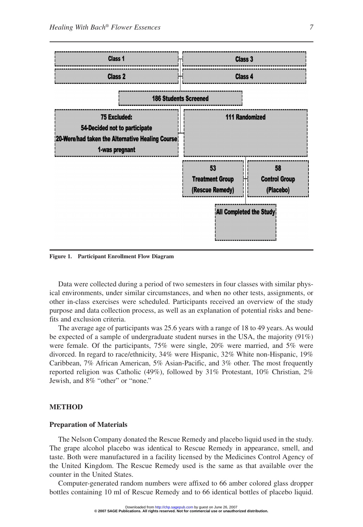

**Figure 1. Participant Enrollment Flow Diagram**

Data were collected during a period of two semesters in four classes with similar physical environments, under similar circumstances, and when no other tests, assignments, or other in-class exercises were scheduled. Participants received an overview of the study purpose and data collection process, as well as an explanation of potential risks and benefits and exclusion criteria.

The average age of participants was 25.6 years with a range of 18 to 49 years. As would be expected of a sample of undergraduate student nurses in the USA, the majority  $(91\%)$ were female. Of the participants, 75% were single, 20% were married, and 5% were divorced. In regard to race/ethnicity, 34% were Hispanic, 32% White non-Hispanic, 19% Caribbean, 7% African American, 5% Asian-Pacific, and 3% other. The most frequently reported religion was Catholic (49%), followed by 31% Protestant, 10% Christian, 2% Jewish, and 8% "other" or "none."

#### **METHOD**

#### **Preparation of Materials**

The Nelson Company donated the Rescue Remedy and placebo liquid used in the study. The grape alcohol placebo was identical to Rescue Remedy in appearance, smell, and taste. Both were manufactured in a facility licensed by the Medicines Control Agency of the United Kingdom. The Rescue Remedy used is the same as that available over the counter in the United States.

Computer-generated random numbers were affixed to 66 amber colored glass dropper bottles containing 10 ml of Rescue Remedy and to 66 identical bottles of placebo liquid.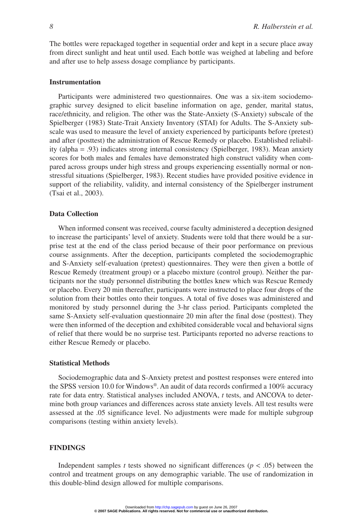The bottles were repackaged together in sequential order and kept in a secure place away from direct sunlight and heat until used. Each bottle was weighed at labeling and before and after use to help assess dosage compliance by participants.

#### **Instrumentation**

Participants were administered two questionnaires. One was a six-item sociodemographic survey designed to elicit baseline information on age, gender, marital status, race/ethnicity, and religion. The other was the State-Anxiety (S-Anxiety) subscale of the Spielberger (1983) State-Trait Anxiety Inventory (STAI) for Adults. The S-Anxiety subscale was used to measure the level of anxiety experienced by participants before (pretest) and after (posttest) the administration of Rescue Remedy or placebo. Established reliability (alpha = .93) indicates strong internal consistency (Spielberger, 1983). Mean anxiety scores for both males and females have demonstrated high construct validity when compared across groups under high stress and groups experiencing essentially normal or nonstressful situations (Spielberger, 1983). Recent studies have provided positive evidence in support of the reliability, validity, and internal consistency of the Spielberger instrument (Tsai et al., 2003).

#### **Data Collection**

When informed consent was received, course faculty administered a deception designed to increase the participants' level of anxiety. Students were told that there would be a surprise test at the end of the class period because of their poor performance on previous course assignments. After the deception, participants completed the sociodemographic and S-Anxiety self-evaluation (pretest) questionnaires. They were then given a bottle of Rescue Remedy (treatment group) or a placebo mixture (control group). Neither the participants nor the study personnel distributing the bottles knew which was Rescue Remedy or placebo. Every 20 min thereafter, participants were instructed to place four drops of the solution from their bottles onto their tongues. A total of five doses was administered and monitored by study personnel during the 3-hr class period. Participants completed the same S-Anxiety self-evaluation questionnaire 20 min after the final dose (posttest). They were then informed of the deception and exhibited considerable vocal and behavioral signs of relief that there would be no surprise test. Participants reported no adverse reactions to either Rescue Remedy or placebo.

#### **Statistical Methods**

Sociodemographic data and S-Anxiety pretest and posttest responses were entered into the SPSS version 10.0 for Windows®. An audit of data records confirmed a 100% accuracy rate for data entry. Statistical analyses included ANOVA, *t* tests, and ANCOVA to determine both group variances and differences across state anxiety levels. All test results were assessed at the .05 significance level. No adjustments were made for multiple subgroup comparisons (testing within anxiety levels).

#### **FINDINGS**

Independent samples *t* tests showed no significant differences ( $p < .05$ ) between the control and treatment groups on any demographic variable. The use of randomization in this double-blind design allowed for multiple comparisons.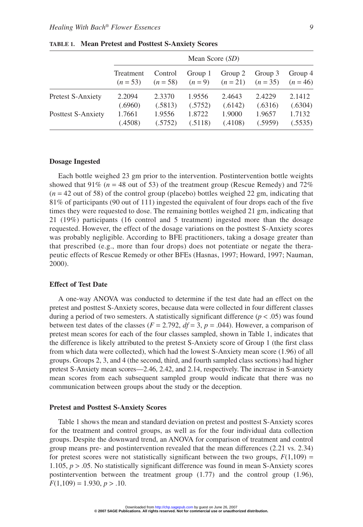|                          | Mean Score $(SD)$ |            |         |          |            |            |  |  |
|--------------------------|-------------------|------------|---------|----------|------------|------------|--|--|
|                          | Treatment         | Control    | Group 1 | Group 2  | Group 3    | Group 4    |  |  |
|                          | $(n = 53)$        | $(n = 58)$ | $(n=9)$ | $(n=21)$ | $(n = 35)$ | $(n = 46)$ |  |  |
| <b>Pretest S-Anxiety</b> | 2.2094            | 2.3370     | 1.9556  | 2.4643   | 2.4229     | 2.1412     |  |  |
|                          | (.6960)           | (.5813)    | (.5752) | (.6142)  | (.6316)    | (.6304)    |  |  |
| Posttest S-Anxiety       | 1.7661            | 1.9556     | 1.8722  | 1.9000   | 1.9657     | 1.7132     |  |  |
|                          | (.4508)           | (.5752)    | (.5118) | (.4108)  | (.5959)    | (.5535)    |  |  |

**TABLE 1. Mean Pretest and Posttest S-Anxiety Scores**

#### **Dosage Ingested**

Each bottle weighed 23 gm prior to the intervention. Postintervention bottle weights showed that 91% ( $n = 48$  out of 53) of the treatment group (Rescue Remedy) and 72%  $(n = 42$  out of 58) of the control group (placebo) bottles weighed 22 gm, indicating that 81% of participants (90 out of 111) ingested the equivalent of four drops each of the five times they were requested to dose. The remaining bottles weighed 21 gm, indicating that 21 (19%) participants (16 control and 5 treatment) ingested more than the dosage requested. However, the effect of the dosage variations on the posttest S-Anxiety scores was probably negligible. According to BFE practitioners, taking a dosage greater than that prescribed (e.g., more than four drops) does not potentiate or negate the therapeutic effects of Rescue Remedy or other BFEs (Hasnas, 1997; Howard, 1997; Nauman, 2000).

#### **Effect of Test Date**

A one-way ANOVA was conducted to determine if the test date had an effect on the pretest and posttest S-Anxiety scores, because data were collected in four different classes during a period of two semesters. A statistically significant difference  $(p < .05)$  was found between test dates of the classes ( $F = 2.792$ ,  $df = 3$ ,  $p = .044$ ). However, a comparison of pretest mean scores for each of the four classes sampled, shown in Table 1, indicates that the difference is likely attributed to the pretest S-Anxiety score of Group 1 (the first class from which data were collected), which had the lowest S-Anxiety mean score (1.96) of all groups. Groups 2, 3, and 4 (the second, third, and fourth sampled class sections) had higher pretest S-Anxiety mean scores—2.46, 2.42, and 2.14, respectively. The increase in S-anxiety mean scores from each subsequent sampled group would indicate that there was no communication between groups about the study or the deception.

#### **Pretest and Posttest S-Anxiety Scores**

Table 1 shows the mean and standard deviation on pretest and posttest S-Anxiety scores for the treatment and control groups, as well as for the four individual data collection groups. Despite the downward trend, an ANOVA for comparison of treatment and control group means pre- and postintervention revealed that the mean differences (2.21 vs. 2.34) for pretest scores were not statistically significant between the two groups,  $F(1,109) =$ 1.105, *p* > .05. No statistically significant difference was found in mean S-Anxiety scores postintervention between the treatment group (1.77) and the control group (1.96),  $F(1,109) = 1.930, p > .10.$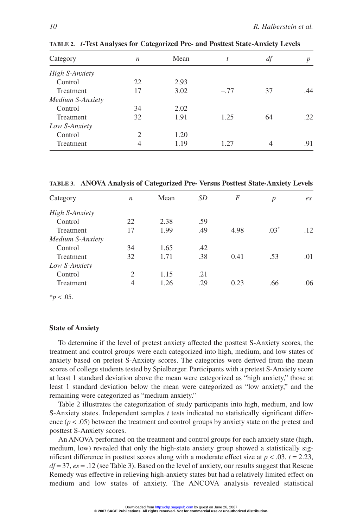| Category              | n  | Mean | t      | df | $\boldsymbol{p}$ |
|-----------------------|----|------|--------|----|------------------|
| <b>High S-Anxiety</b> |    |      |        |    |                  |
| Control               | 22 | 2.93 |        |    |                  |
| <b>Treatment</b>      | 17 | 3.02 | $-.77$ | 37 | .44              |
| Medium S-Anxiety      |    |      |        |    |                  |
| Control               | 34 | 2.02 |        |    |                  |
| Treatment             | 32 | 1.91 | 1.25   | 64 | .22              |
| Low S-Anxiety         |    |      |        |    |                  |
| Control               | 2  | 1.20 |        |    |                  |
| Treatment             | 4  | 1.19 | 1.27   | 4  | .91              |

**TABLE 2.** *t***-Test Analyses for Categorized Pre- and Posttest State-Anxiety Levels**

**TABLE 3. ANOVA Analysis of Categorized Pre- Versus Posttest State-Anxiety Levels**

| Category              | n              | Mean | SD  | F    | $\boldsymbol{p}$ | $\mathfrak{e}_S$ |
|-----------------------|----------------|------|-----|------|------------------|------------------|
| <b>High S-Anxiety</b> |                |      |     |      |                  |                  |
| Control               | 22             | 2.38 | .59 |      |                  |                  |
| Treatment             | 17             | 1.99 | .49 | 4.98 | $.03*$           | .12              |
| Medium S-Anxiety      |                |      |     |      |                  |                  |
| Control               | 34             | 1.65 | .42 |      |                  |                  |
| Treatment             | 32             | 1.71 | .38 | 0.41 | .53              | .01              |
| Low S-Anxiety         |                |      |     |      |                  |                  |
| Control               | $\mathfrak{2}$ | 1.15 | .21 |      |                  |                  |
| Treatment             | 4              | 1.26 | .29 | 0.23 | .66              | .06              |

 $*_{p}$  < .05.

#### **State of Anxiety**

To determine if the level of pretest anxiety affected the posttest S-Anxiety scores, the treatment and control groups were each categorized into high, medium, and low states of anxiety based on pretest S-Anxiety scores. The categories were derived from the mean scores of college students tested by Spielberger. Participants with a pretest S-Anxiety score at least 1 standard deviation above the mean were categorized as "high anxiety," those at least 1 standard deviation below the mean were categorized as "low anxiety," and the remaining were categorized as "medium anxiety."

Table 2 illustrates the categorization of study participants into high, medium, and low S-Anxiety states. Independent samples *t* tests indicated no statistically significant difference  $(p < .05)$  between the treatment and control groups by anxiety state on the pretest and posttest S-Anxiety scores.

An ANOVA performed on the treatment and control groups for each anxiety state (high, medium, low) revealed that only the high-state anxiety group showed a statistically significant difference in posttest scores along with a moderate effect size at  $p < .03$ ,  $t = 2.23$ , *df* = 37, *es* = .12 (see Table 3). Based on the level of anxiety, our results suggest that Rescue Remedy was effective in relieving high-anxiety states but had a relatively limited effect on medium and low states of anxiety. The ANCOVA analysis revealed statistical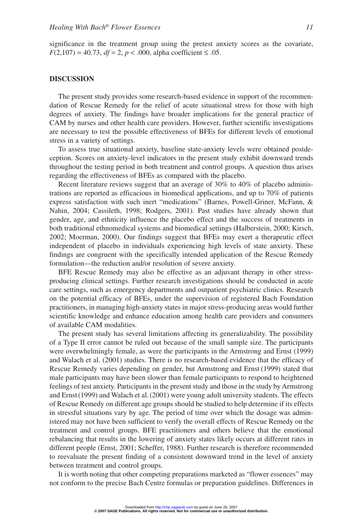significance in the treatment group using the pretest anxiety scores as the covariate,  $F(2,107) = 40.73$ ,  $df = 2$ ,  $p < .000$ , alpha coefficient  $\le .05$ .

#### **DISCUSSION**

The present study provides some research-based evidence in support of the recommendation of Rescue Remedy for the relief of acute situational stress for those with high degrees of anxiety. The findings have broader implications for the general practice of CAM by nurses and other health care providers. However, further scientific investigations are necessary to test the possible effectiveness of BFEs for different levels of emotional stress in a variety of settings.

To assess true situational anxiety, baseline state-anxiety levels were obtained postdeception. Scores on anxiety-level indicators in the present study exhibit downward trends throughout the testing period in both treatment and control groups. A question thus arises regarding the effectiveness of BFEs as compared with the placebo.

Recent literature reviews suggest that an average of 30% to 40% of placebo administrations are reported as efficacious in biomedical applications, and up to 70% of patients express satisfaction with such inert "medications" (Barnes, Powell-Griner, McFann, & Nahin, 2004; Cassileth, 1998; Rodgers, 2001). Past studies have already shown that gender, age, and ethnicity influence the placebo effect and the success of treatments in both traditional ethnomedical systems and biomedical settings (Halberstein, 2000; Kirsch, 2002; Moerman, 2000). Our findings suggest that BFEs may exert a therapeutic effect independent of placebo in individuals experiencing high levels of state anxiety. These findings are congruent with the specifically intended application of the Rescue Remedy formulation—the reduction and/or resolution of severe anxiety.

BFE Rescue Remedy may also be effective as an adjuvant therapy in other stressproducing clinical settings. Further research investigations should be conducted in acute care settings, such as emergency departments and outpatient psychiatric clinics. Research on the potential efficacy of BFEs, under the supervision of registered Bach Foundation practitioners, in managing high-anxiety states in major stress-producing areas would further scientific knowledge and enhance education among health care providers and consumers of available CAM modalities.

The present study has several limitations affecting its generalizability. The possibility of a Type II error cannot be ruled out because of the small sample size. The participants were overwhelmingly female, as were the participants in the Armstrong and Ernst (1999) and Walach et al. (2001) studies. There is no research-based evidence that the efficacy of Rescue Remedy varies depending on gender, but Armstrong and Ernst (1999) stated that male participants may have been slower than female participants to respond to heightened feelings of test anxiety. Participants in the present study and those in the study by Armstrong and Ernst (1999) and Walach et al. (2001) were young adult university students. The effects of Rescue Remedy on different age groups should be studied to help determine if its effects in stressful situations vary by age. The period of time over which the dosage was administered may not have been sufficient to verify the overall effects of Rescue Remedy on the treatment and control groups. BFE practitioners and others believe that the emotional rebalancing that results in the lowering of anxiety states likely occurs at different rates in different people (Ernst, 2001; Scheffer, 1988). Further research is therefore recommended to reevaluate the present finding of a consistent downward trend in the level of anxiety between treatment and control groups.

It is worth noting that other competing preparations marketed as "flower essences" may not conform to the precise Bach Centre formulas or preparation guidelines. Differences in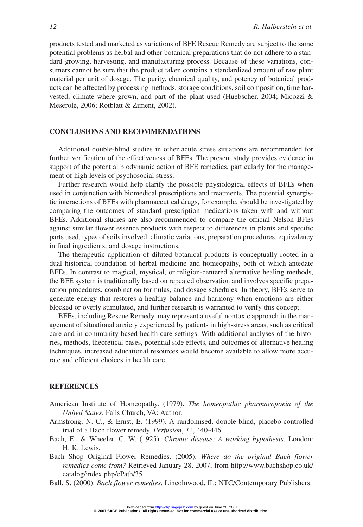products tested and marketed as variations of BFE Rescue Remedy are subject to the same potential problems as herbal and other botanical preparations that do not adhere to a standard growing, harvesting, and manufacturing process. Because of these variations, consumers cannot be sure that the product taken contains a standardized amount of raw plant material per unit of dosage. The purity, chemical quality, and potency of botanical products can be affected by processing methods, storage conditions, soil composition, time harvested, climate where grown, and part of the plant used (Huebscher, 2004; Micozzi & Meserole, 2006; Rotblatt & Ziment, 2002).

#### **CONCLUSIONS AND RECOMMENDATIONS**

Additional double-blind studies in other acute stress situations are recommended for further verification of the effectiveness of BFEs. The present study provides evidence in support of the potential biodynamic action of BFE remedies, particularly for the management of high levels of psychosocial stress.

Further research would help clarify the possible physiological effects of BFEs when used in conjunction with biomedical prescriptions and treatments. The potential synergistic interactions of BFEs with pharmaceutical drugs, for example, should be investigated by comparing the outcomes of standard prescription medications taken with and without BFEs. Additional studies are also recommended to compare the official Nelson BFEs against similar flower essence products with respect to differences in plants and specific parts used, types of soils involved, climatic variations, preparation procedures, equivalency in final ingredients, and dosage instructions.

The therapeutic application of diluted botanical products is conceptually rooted in a dual historical foundation of herbal medicine and homeopathy, both of which antedate BFEs. In contrast to magical, mystical, or religion-centered alternative healing methods, the BFE system is traditionally based on repeated observation and involves specific preparation procedures, combination formulas, and dosage schedules. In theory, BFEs serve to generate energy that restores a healthy balance and harmony when emotions are either blocked or overly stimulated, and further research is warranted to verify this concept.

BFEs, including Rescue Remedy, may represent a useful nontoxic approach in the management of situational anxiety experienced by patients in high-stress areas, such as critical care and in community-based health care settings. With additional analyses of the histories, methods, theoretical bases, potential side effects, and outcomes of alternative healing techniques, increased educational resources would become available to allow more accurate and efficient choices in health care.

#### **REFERENCES**

- American Institute of Homeopathy. (1979). *The homeopathic pharmacopoeia of the United States*. Falls Church, VA: Author.
- Armstrong, N. C., & Ernst, E. (1999). A randomised, double-blind, placebo-controlled trial of a Bach flower remedy. *Perfusion*, *12*, 440-446.
- Bach, E., & Wheeler, C. W. (1925). *Chronic disease: A working hypothesis*. London: H. K. Lewis.
- Bach Shop Original Flower Remedies. (2005). *Where do the original Bach flower remedies come from?* Retrieved January 28, 2007, from http://www.bachshop.co.uk/ catalog/index.php/cPath/35
- Ball, S. (2000). *Bach flower remedies*. Lincolnwood, IL: NTC/Contemporary Publishers.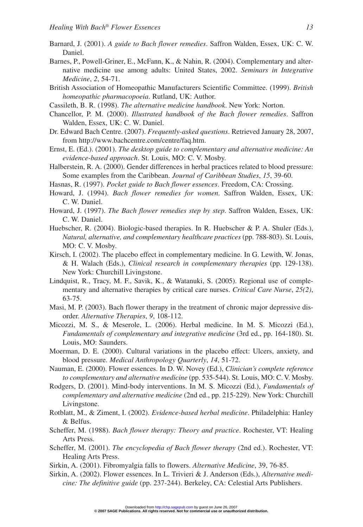- Barnard, J. (2001). *A guide to Bach flower remedies*. Saffron Walden, Essex, UK: C. W. Daniel.
- Barnes, P., Powell-Griner, E., McFann, K., & Nahin, R. (2004). Complementary and alternative medicine use among adults: United States, 2002. *Seminars in Integrative Medicine*, *2*, 54-71.
- British Association of Homeopathic Manufacturers Scientific Committee. (1999). *British homeopathic pharmacopoeia*. Rutland, UK: Author.
- Cassileth, B. R. (1998). *The alternative medicine handbook*. New York: Norton.
- Chancellor, P. M. (2000). *Illustrated handbook of the Bach flower remedies*. Saffron Walden, Essex, UK: C. W. Daniel.
- Dr. Edward Bach Centre. (2007). *Frequently-asked questions*. Retrieved January 28, 2007, from http://www.bachcentre.com/centre/faq.htm.
- Ernst, E. (Ed.). (2001). *The desktop guide to complementary and alternative medicine: An evidence-based approach*. St. Louis, MO: C. V. Mosby.
- Halberstein, R. A. (2000). Gender differences in herbal practices related to blood pressure: Some examples from the Caribbean. *Journal of Caribbean Studies*, *15*, 39-60.
- Hasnas, R. (1997). *Pocket guide to Bach flower essences*. Freedom, CA: Crossing.
- Howard, J. (1994). *Bach flower remedies for women*. Saffron Walden, Essex, UK: C. W. Daniel.
- Howard, J. (1997). *The Bach flower remedies step by step*. Saffron Walden, Essex, UK: C. W. Daniel.
- Huebscher, R. (2004). Biologic-based therapies. In R. Huebscher & P. A. Shuler (Eds.), *Natural, alternative, and complementary healthcare practices* (pp. 788-803). St. Louis, MO: C. V. Mosby.
- Kirsch, I. (2002). The placebo effect in complementary medicine. In G. Lewith, W. Jonas, & H. Walach (Eds.), *Clinical research in complementary therapies* (pp. 129-138). New York: Churchill Livingstone.
- Lindquist, R., Tracy, M. F., Savik, K., & Watanuki, S. (2005). Regional use of complementary and alternative therapies by critical care nurses. *Critical Care Nurse*, *25(2)*, 63-75.
- Masi, M. P. (2003). Bach flower therapy in the treatment of chronic major depressive disorder. *Alternative Therapies*, *9*, 108-112.
- Micozzi, M. S., & Meserole, L. (2006). Herbal medicine. In M. S. Micozzi (Ed.), *Fundamentals of complementary and integrative medicine* (3rd ed., pp. 164-180). St. Louis, MO: Saunders.
- Moerman, D. E. (2000). Cultural variations in the placebo effect: Ulcers, anxiety, and blood pressure. *Medical Anthropology Quarterly*, *14*, 51-72.
- Nauman, E. (2000). Flower essences. In D. W. Novey (Ed.), *Clinician's complete reference to complementary and alternative medicine* (pp. 535-544). St. Louis, MO: C. V. Mosby.
- Rodgers, D. (2001). Mind-body interventions. In M. S. Micozzi (Ed.), *Fundamentals of complementary and alternative medicine* (2nd ed., pp. 215-229). New York: Churchill Livingstone.
- Rotblatt, M., & Ziment, I. (2002). *Evidence-based herbal medicine*. Philadelphia: Hanley & Belfus.
- Scheffer, M. (1988). *Bach flower therapy: Theory and practice*. Rochester, VT: Healing Arts Press.
- Scheffer, M. (2001). *The encyclopedia of Bach flower therapy* (2nd ed.). Rochester, VT: Healing Arts Press.
- Sirkin, A. (2001). Fibromyalgia falls to flowers. *Alternative Medicine*, 39, 76-85.
- Sirkin, A. (2002). Flower essences. In L. Trivieri & J. Anderson (Eds.), *Alternative medicine: The definitive guide* (pp. 237-244). Berkeley, CA: Celestial Arts Publishers.